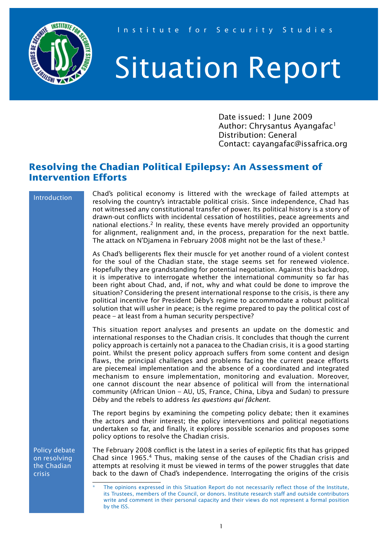

# Situation Report

Date issued: 1 June 2009 Author: Chrysantus Ayangafac<sup>1</sup> Distribution: General Contact: cayangafac@issafrica.org

# **Resolving the Chadian Political Epilepsy: An Assessment of Intervention Efforts**

#### Introduction

Chad's political economy is littered with the wreckage of failed attempts at resolving the country's intractable political crisis. Since independence, Chad has not witnessed any constitutional transfer of power. Its political history is a story of drawn-out conflicts with incidental cessation of hostilities, peace agreements and national elections.<sup>2</sup> In reality, these events have merely provided an opportunity for alignment, realignment and, in the process, preparation for the next battle. The attack on N'Djamena in February 2008 might not be the last of these.<sup>3</sup>

As Chad's belligerents flex their muscle for yet another round of a violent contest for the soul of the Chadian state, the stage seems set for renewed violence. Hopefully they are grandstanding for potential negotiation. Against this backdrop, it is imperative to interrogate whether the international community so far has been right about Chad, and, if not, why and what could be done to improve the situation? Considering the present international response to the crisis, is there any political incentive for President Déby's regime to accommodate a robust political solution that will usher in peace; is the regime prepared to pay the political cost of peace – at least from a human security perspective?

This situation report analyses and presents an update on the domestic and international responses to the Chadian crisis. It concludes that though the current policy approach is certainly not a panacea to the Chadian crisis, it is a good starting point. Whilst the present policy approach suffers from some content and design flaws, the principal challenges and problems facing the current peace efforts are piecemeal implementation and the absence of a coordinated and integrated mechanism to ensure implementation, monitoring and evaluation. Moreover, one cannot discount the near absence of political will from the international community (African Union – AU, US, France, China, Libya and Sudan) to pressure Déby and the rebels to address *les questions qui fâchent*.

The report begins by examining the competing policy debate; then it examines the actors and their interest; the policy interventions and political negotiations undertaken so far, and finally, it explores possible scenarios and proposes some policy options to resolve the Chadian crisis.

Policy debate on resolving the Chadian crisis

The February 2008 conflict is the latest in a series of epileptic fits that has gripped Chad since 1965.4 Thus, making sense of the causes of the Chadian crisis and attempts at resolving it must be viewed in terms of the power struggles that date back to the dawn of Chad's independence. Interrogating the origins of the crisis

The opinions expressed in this Situation Report do not necessarily reflect those of the Institute, its Trustees, members of the Council, or donors. Institute research staff and outside contributors write and comment in their personal capacity and their views do not represent a formal position by the ISS.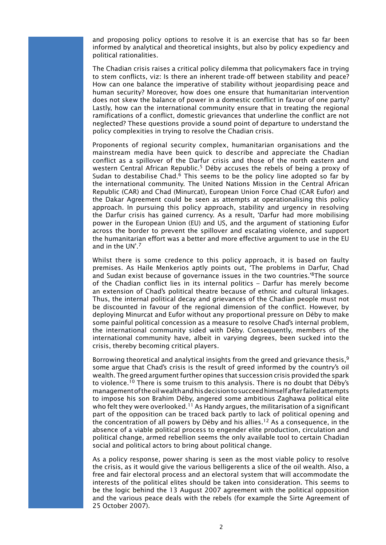and proposing policy options to resolve it is an exercise that has so far been informed by analytical and theoretical insights, but also by policy expediency and political rationalities.

The Chadian crisis raises a critical policy dilemma that policymakers face in trying to stem conflicts, viz: Is there an inherent trade-off between stability and peace? How can one balance the imperative of stability without jeopardising peace and human security? Moreover, how does one ensure that humanitarian intervention does not skew the balance of power in a domestic conflict in favour of one party? Lastly, how can the international community ensure that in treating the regional ramifications of a conflict, domestic grievances that underline the conflict are not neglected? These questions provide a sound point of departure to understand the policy complexities in trying to resolve the Chadian crisis.

Proponents of regional security complex, humanitarian organisations and the mainstream media have been quick to describe and appreciate the Chadian conflict as a spillover of the Darfur crisis and those of the north eastern and western Central African Republic.<sup>5</sup> Déby accuses the rebels of being a proxy of Sudan to destabilise Chad.<sup>6</sup> This seems to be the policy line adopted so far by the international community. The United Nations Mission in the Central African Republic (CAR) and Chad (Minurcat), European Union Force Chad (CAR Eufor) and the Dakar Agreement could be seen as attempts at operationalising this policy approach. In pursuing this policy approach, stability and urgency in resolving the Darfur crisis has gained currency. As a result, 'Darfur had more mobilising power in the European Union (EU) and US, and the argument of stationing Eufor across the border to prevent the spillover and escalating violence, and support the humanitarian effort was a better and more effective argument to use in the EU and in the UN'.7

Whilst there is some credence to this policy approach, it is based on faulty premises. As Haile Menkerios aptly points out, 'The problems in Darfur, Chad and Sudan exist because of governance issues in the two countries.'8The source of the Chadian conflict lies in its internal politics – Darfur has merely become an extension of Chad's political theatre because of ethnic and cultural linkages. Thus, the internal political decay and grievances of the Chadian people must not be discounted in favour of the regional dimension of the conflict. However, by deploying Minurcat and Eufor without any proportional pressure on Déby to make some painful political concession as a measure to resolve Chad's internal problem, the international community sided with Déby. Consequently, members of the international community have, albeit in varying degrees, been sucked into the crisis, thereby becoming critical players.

Borrowing theoretical and analytical insights from the greed and grievance thesis,  $9$ some argue that Chad's crisis is the result of greed informed by the country's oil wealth. The greed argument further opines that succession crisis provided the spark to violence.<sup>10</sup> There is some truism to this analysis. There is no doubt that Déby's management of the oil wealth and his decision to succeed himself after failed attempts to impose his son Brahim Déby, angered some ambitious Zaghawa political elite who felt they were overlooked.<sup>11</sup> As Handy argues, the militarisation of a significant part of the opposition can be traced back partly to lack of political opening and the concentration of all powers by Déby and his allies.12 As a consequence, in the absence of a viable political process to engender elite production, circulation and political change, armed rebellion seems the only available tool to certain Chadian social and political actors to bring about political change.

As a policy response, power sharing is seen as the most viable policy to resolve the crisis, as it would give the various belligerents a slice of the oil wealth. Also, a free and fair electoral process and an electoral system that will accommodate the interests of the political elites should be taken into consideration. This seems to be the logic behind the 13 August 2007 agreement with the political opposition and the various peace deals with the rebels (for example the Sirte Agreement of 25 October 2007).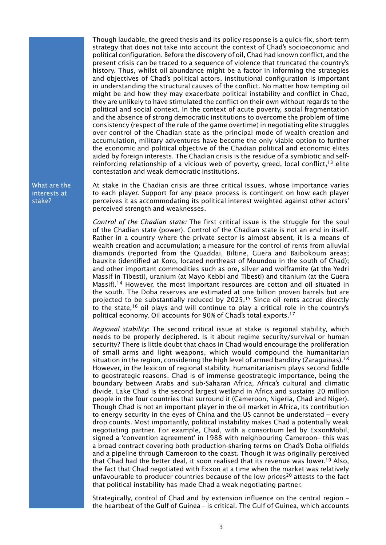Though laudable, the greed thesis and its policy response is a quick-fix, short-term strategy that does not take into account the context of Chad's socioeconomic and political configuration. Before the discovery of oil, Chad had known conflict, and the present crisis can be traced to a sequence of violence that truncated the country's history. Thus, whilst oil abundance might be a factor in informing the strategies and objectives of Chad's political actors, institutional configuration is important in understanding the structural causes of the conflict. No matter how tempting oil might be and how they may exacerbate political instability and conflict in Chad, they are unlikely to have stimulated the conflict on their own without regards to the political and social context. In the context of acute poverty, social fragmentation and the absence of strong democratic institutions to overcome the problem of time consistency (respect of the rule of the game overtime) in negotiating elite struggles over control of the Chadian state as the principal mode of wealth creation and accumulation, military adventures have become the only viable option to further the economic and political objective of the Chadian political and economic elites aided by foreign interests. The Chadian crisis is the residue of a symbiotic and selfreinforcing relationship of a vicious web of poverty, greed, local conflict,  $13$  elite contestation and weak democratic institutions.

At stake in the Chadian crisis are three critical issues, whose importance varies to each player. Support for any peace process is contingent on how each player perceives it as accommodating its political interest weighted against other actors' perceived strength and weaknesses.

*Control of the Chadian state:* The first critical issue is the struggle for the soul of the Chadian state (power). Control of the Chadian state is not an end in itself. Rather in a country where the private sector is almost absent, it is a means of wealth creation and accumulation; a measure for the control of rents from alluvial diamonds (reported from the Quaddai, Biltine, Guera and Baibokoum areas; bauxite (identified at Koro, located northeast of Moundou in the south of Chad); and other important commodities such as ore, silver and wolframite (at the Yedri Massif in Tibesti), uranium (at Mayo Kebbi and Tibesti) and titanium (at the Guera Massif).<sup>14</sup> However, the most important resources are cotton and oil situated in the south. The Doba reserves are estimated at one billion proven barrels but are projected to be substantially reduced by 2025.<sup>15</sup> Since oil rents accrue directly to the state,<sup>16</sup> oil plays and will continue to play a critical role in the country's political economy. Oil accounts for 90% of Chad's total exports.17

*Regional stability*: The second critical issue at stake is regional stability, which needs to be properly deciphered. Is it about regime security/survival or human security? There is little doubt that chaos in Chad would encourage the proliferation of small arms and light weapons, which would compound the humanitarian situation in the region, considering the high level of armed banditry (Zaraguinas).<sup>18</sup> However, in the lexicon of regional stability, humanitarianism plays second fiddle to geostrategic reasons. Chad is of immense geostrategic importance, being the boundary between Arabs and sub-Saharan Africa, Africa's cultural and climatic divide. Lake Chad is the second largest wetland in Africa and sustains 20 million people in the four countries that surround it (Cameroon, Nigeria, Chad and Niger). Though Chad is not an important player in the oil market in Africa, its contribution to energy security in the eyes of China and the US cannot be understated – every drop counts. Most importantly, political instability makes Chad a potentially weak negotiating partner. For example, Chad, with a consortium led by ExxonMobil, signed a 'convention agreement' in 1988 with neighbouring Cameroon– this was a broad contract covering both production-sharing terms on Chad's Doba oilfields and a pipeline through Cameroon to the coast. Though it was originally perceived that Chad had the better deal, it soon realised that its revenue was lower.<sup>19</sup> Also, the fact that Chad negotiated with Exxon at a time when the market was relatively unfavourable to producer countries because of the low prices<sup>20</sup> attests to the fact that political instability has made Chad a weak negotiating partner.

Strategically, control of Chad and by extension influence on the central region – the heartbeat of the Gulf of Guinea – is critical. The Gulf of Guinea, which accounts

What are the interests at stake?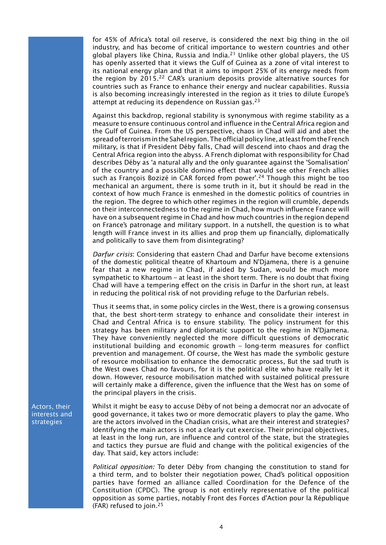for 45% of Africa's total oil reserve, is considered the next big thing in the oil industry, and has become of critical importance to western countries and other global players like China, Russia and India.<sup>21</sup> Unlike other global players, the US has openly asserted that it views the Gulf of Guinea as a zone of vital interest to its national energy plan and that it aims to import 25% of its energy needs from the region by 2015.<sup>22</sup> CAR's uranium deposits provide alternative sources for countries such as France to enhance their energy and nuclear capabilities. Russia is also becoming increasingly interested in the region as it tries to dilute Europe's attempt at reducing its dependence on Russian gas.<sup>23</sup>

Against this backdrop, regional stability is synonymous with regime stability as a measure to ensure continuous control and influence in the Central Africa region and the Gulf of Guinea. From the US perspective, chaos in Chad will aid and abet the spread of terrorism in the Sahel region. The official policy line, at least from the French military, is that if President Déby falls, Chad will descend into chaos and drag the Central Africa region into the abyss. A French diplomat with responsibility for Chad describes Déby as 'a natural ally and the only guarantee against the 'Somalisation' of the country and a possible domino effect that would see other French allies such as François Bozizé in CAR forced from power'.<sup>24</sup> Though this might be too mechanical an argument, there is some truth in it, but it should be read in the context of how much France is enmeshed in the domestic politics of countries in the region. The degree to which other regimes in the region will crumble, depends on their interconnectedness to the regime in Chad, how much influence France will have on a subsequent regime in Chad and how much countries in the region depend on France's patronage and military support. In a nutshell, the question is to what length will France invest in its allies and prop them up financially, diplomatically and politically to save them from disintegrating?

*Darfur crisis*: Considering that eastern Chad and Darfur have become extensions of the domestic political theatre of Khartoum and N'Djamena, there is a genuine fear that a new regime in Chad, if aided by Sudan, would be much more sympathetic to Khartoum – at least in the short term. There is no doubt that fixing Chad will have a tempering effect on the crisis in Darfur in the short run, at least in reducing the political risk of not providing refuge to the Darfurian rebels.

Thus it seems that, in some policy circles in the West, there is a growing consensus that, the best short-term strategy to enhance and consolidate their interest in Chad and Central Africa is to ensure stability. The policy instrument for this strategy has been military and diplomatic support to the regime in N'Djamena. They have conveniently neglected the more difficult questions of democratic institutional building and economic growth – long-term measures for conflict prevention and management. Of course, the West has made the symbolic gesture of resource mobilisation to enhance the democratic process, But the sad truth is the West owes Chad no favours, for it is the political elite who have really let it down. However, resource mobilisation matched with sustained political pressure will certainly make a difference, given the influence that the West has on some of the principal players in the crisis.

Actors, their interests and strategies

Whilst it might be easy to accuse Déby of not being a democrat nor an advocate of good governance, it takes two or more democratic players to play the game. Who are the actors involved in the Chadian crisis, what are their interest and strategies? Identifying the main actors is not a clearly cut exercise. Their principal objectives, at least in the long run, are influence and control of the state, but the strategies and tactics they pursue are fluid and change with the political exigencies of the day. That said, key actors include:

*Political opposition:* To deter Déby from changing the constitution to stand for a third term, and to bolster their negotiation power, Chad's political opposition parties have formed an alliance called Coordination for the Defence of the Constitution (CPDC). The group is not entirely representative of the political opposition as some parties, notably Front des Forces d'Action pour la République (FAR) refused to join.25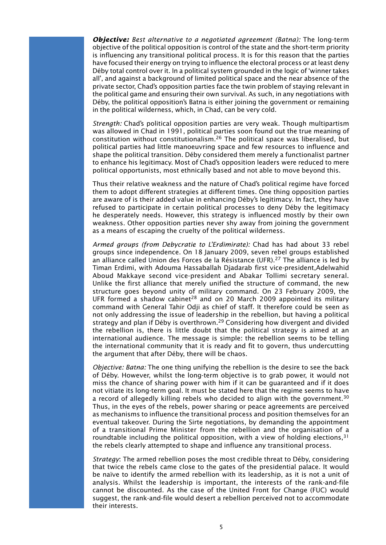*Objective: Best alternative to a negotiated agreement (Batna):* The long-term objective of the political opposition is control of the state and the short-term priority is influencing any transitional political process. It is for this reason that the parties have focused their energy on trying to influence the electoral process or at least deny Déby total control over it. In a political system grounded in the logic of 'winner takes all', and against a background of limited political space and the near absence of the private sector, Chad's opposition parties face the twin problem of staying relevant in the political game and ensuring their own survival. As such, in any negotiations with Déby, the political opposition's Batna is either joining the government or remaining in the political wilderness, which, in Chad, can be very cold.

*Strength:* Chad's political opposition parties are very weak. Though multipartism was allowed in Chad in 1991, political parties soon found out the true meaning of constitution without constitutionalism.<sup>26</sup> The political space was liberalised, but political parties had little manoeuvring space and few resources to influence and shape the political transition. Déby considered them merely a functionalist partner to enhance his legitimacy. Most of Chad's opposition leaders were reduced to mere political opportunists, most ethnically based and not able to move beyond this.

Thus their relative weakness and the nature of Chad's political regime have forced them to adopt different strategies at different times. One thing opposition parties are aware of is their added value in enhancing Déby's legitimacy. In fact, they have refused to participate in certain political processes to deny Déby the legitimacy he desperately needs. However, this strategy is influenced mostly by their own weakness. Other opposition parties never shy away from joining the government as a means of escaping the cruelty of the political wilderness.

*Armed groups (from Debycratie to L'Erdimirate):* Chad has had about 33 rebel groups since independence. On 18 January 2009, seven rebel groups established an alliance called Union des Forces de la Résistance (UFR).27 The alliance is led by Timan Erdimi, with Adouma Hassaballah Djadarab first vice-president,Adelwahid Aboud Makkaye second vice-president and Abakar Tollimi secretary seneral. Unlike the first alliance that merely unified the structure of command, the new structure goes beyond unity of military command. On 23 February 2009, the UFR formed a shadow cabinet<sup>28</sup> and on 20 March 2009 appointed its military command with General Tahir Odji as chief of staff. It therefore could be seen as not only addressing the issue of leadership in the rebellion, but having a political strategy and plan if Déby is overthrown.<sup>29</sup> Considering how divergent and divided the rebellion is, there is little doubt that the political strategy is aimed at an international audience. The message is simple: the rebellion seems to be telling the international community that it is ready and fit to govern, thus undercutting the argument that after Déby, there will be chaos.

*Objective: Batna:* The one thing unifying the rebellion is the desire to see the back of Déby. However, whilst the long-term objective is to grab power, it would not miss the chance of sharing power with him if it can be guaranteed and if it does not vitiate its long-term goal. It must be stated here that the regime seems to have a record of allegedly killing rebels who decided to align with the government.<sup>30</sup> Thus, in the eyes of the rebels, power sharing or peace agreements are perceived as mechanisms to influence the transitional process and position themselves for an eventual takeover. During the Sirte negotiations, by demanding the appointment of a transitional Prime Minister from the rebellion and the organisation of a roundtable including the political opposition, with a view of holding elections,  $31$ the rebels clearly attempted to shape and influence any transitional process.

*Strategy*: The armed rebellion poses the most credible threat to Déby, considering that twice the rebels came close to the gates of the presidential palace. It would be naïve to identify the armed rebellion with its leadership, as it is not a unit of analysis. Whilst the leadership is important, the interests of the rank-and-file cannot be discounted. As the case of the United Front for Change (FUC) would suggest, the rank-and-file would desert a rebellion perceived not to accommodate their interests.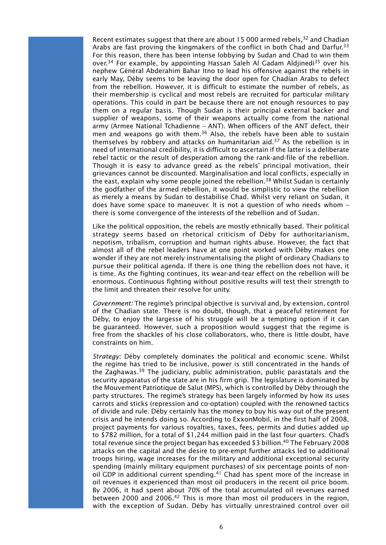Recent estimates suggest that there are about 15 000 armed rebels,<sup>32</sup> and Chadian Arabs are fast proving the kingmakers of the conflict in both Chad and Darfur.<sup>33</sup> For this reason, there has been intense lobbying by Sudan and Chad to win them over.<sup>34</sup> For example, by appointing Hassan Saleh Al Gadam Aldjinedi<sup>35</sup> over his nephew Général Abderahim Bahar Itno to lead his offensive against the rebels in early May, Déby seems to be leaving the door open for Chadian Arabs to defect from the rebellion. However, it is difficult to estimate the number of rebels, as their membership is cyclical and most rebels are recruited for particular military operations. This could in part be because there are not enough resources to pay them on a regular basis. Though Sudan is their principal external backer and supplier of weapons, some of their weapons actually come from the national army (Armee National Tchadienne – ANT). When officers of the ANT defect, their men and weapons go with them.<sup>36</sup> Also, the rebels have been able to sustain themselves by robbery and attacks on humanitarian aid.37 As the rebellion is in need of international credibility, it is difficult to ascertain if the latter is a deliberate rebel tactic or the result of desperation among the rank-and-file of the rebellion. Though it is easy to advance greed as the rebels' principal motivation, their grievances cannot be discounted. Marginalisation and local conflicts, especially in the east, explain why some people joined the rebellion.<sup>38</sup> Whilst Sudan is certainly the godfather of the armed rebellion, it would be simplistic to view the rebellion as merely a means by Sudan to destabilise Chad. Whilst very reliant on Sudan, it does have some space to maneuver. It is not a question of who needs whom – there is some convergence of the interests of the rebellion and of Sudan.

Like the political opposition, the rebels are mostly ethnically based. Their political strategy seems based on rhetorical criticism of Déby for authoritarianism, nepotism, tribalism, corruption and human rights abuse. However, the fact that almost all of the rebel leaders have at one point worked with Déby makes one wonder if they are not merely instrumentalising the plight of ordinary Chadians to pursue their political agenda. If there is one thing the rebellion does not have, it is time. As the fighting continues, its wear-and-tear effect on the rebellion will be enormous. Continuous fighting without positive results will test their strength to the limit and threaten their resolve for unity.

*Government:* The regime's principal objective is survival and, by extension, control of the Chadian state. There is no doubt, though, that a peaceful retirement for Déby, to enjoy the largesse of his struggle will be a tempting option if it can be guaranteed. However, such a proposition would suggest that the regime is free from the shackles of his close collaborators, who, there is little doubt, have constraints on him.

*Strategy:* Déby completely dominates the political and economic scene. Whilst the regime has tried to be inclusive, power is still concentrated in the hands of the Zaghawas.39 The judiciary, public administration, public parastatals and the security apparatus of the state are in his firm grip. The legislature is dominated by the Mouvement Patriotique de Salut (MPS), which is controlled by Déby through the party structures. The regime's strategy has been largely informed by how its uses carrots and sticks (repression and co-optation) coupled with the renowned tactics of divide and rule. Déby certainly has the money to buy his way out of the present crisis and he intends doing so. According to ExxonMobil, in the first half of 2008, project payments for various royalties, taxes, fees, permits and duties added up to \$782 million, for a total of \$1,244 million paid in the last four quarters. Chad's total revenue since the project began has exceeded \$3 billion.<sup>40</sup> The February 2008 attacks on the capital and the desire to pre-empt further attacks led to additional troops hiring, wage increases for the military and additional exceptional security spending (mainly military equipment purchases) of six percentage points of nonoil GDP in additional current spending.<sup>41</sup> Chad has spent more of the increase in oil revenues it experienced than most oil producers in the recent oil price boom. By 2006, it had spent about 70% of the total accumulated oil revenues earned between 2000 and 2006.<sup>42</sup> This is more than most oil producers in the region, with the exception of Sudan. Déby has virtually unrestrained control over oil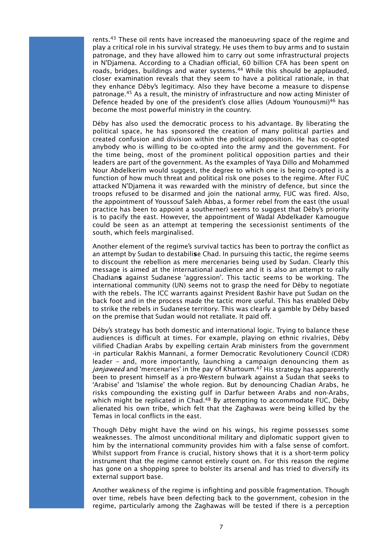rents.<sup>43</sup> These oil rents have increased the manoeuvring space of the regime and play a critical role in his survival strategy. He uses them to buy arms and to sustain patronage, and they have allowed him to carry out some infrastructural projects in N'Djamena. According to a Chadian official, 60 billion CFA has been spent on roads, bridges, buildings and water systems.<sup>44</sup> While this should be applauded, closer examination reveals that they seem to have a political rationale, in that they enhance Déby's legitimacy. Also they have become a measure to dispense patronage.45 As a result, the ministry of infrastructure and now acting Minister of Defence headed by one of the president's close allies (Adoum Younousmi)<sup>46</sup> has become the most powerful ministry in the country.

Déby has also used the democratic process to his advantage. By liberating the political space, he has sponsored the creation of many political parties and created confusion and division within the political opposition. He has co-opted anybody who is willing to be co-opted into the army and the government. For the time being, most of the prominent political opposition parties and their leaders are part of the government. As the examples of Yaya Dillo and Mohammed Nour Abdelkerim would suggest, the degree to which one is being co-opted is a function of how much threat and political risk one poses to the regime. After FUC attacked N'Djamena it was rewarded with the ministry of defence, but since the troops refused to be disarmed and join the national army, FUC was fired. Also, the appointment of Youssouf Saleh Abbas, a former rebel from the east (the usual practice has been to appoint a southerner) seems to suggest that Déby's priority is to pacify the east. However, the appointment of Wadal Abdelkader Kamougue could be seen as an attempt at tempering the secessionist sentiments of the south, which feels marginalised.

Another element of the regime's survival tactics has been to portray the conflict as an attempt by Sudan to destabili**s**e Chad. In pursuing this tactic, the regime seems to discount the rebellion as mere mercenaries being used by Sudan. Clearly this message is aimed at the international audience and it is also an attempt to rally Chadian**s** against Sudanese 'aggression'. This tactic seems to be working. The international community (UN) seems not to grasp the need for Déby to negotiate with the rebels. The ICC warrants against President Bashir have put Sudan on the back foot and in the process made the tactic more useful. This has enabled Déby to strike the rebels in Sudanese territory. This was clearly a gamble by Déby based on the premise that Sudan would not retaliate. It paid off.

Déby's strategy has both domestic and international logic. Trying to balance these audiences is difficult at times. For example, playing on ethnic rivalries, Déby vilified Chadian Arabs by expelling certain Arab ministers from the government -in particular Rakhis Mannani, a former Democratic Revolutionery Council (CDR) leader – and, more importantly, launching a campaign denouncing them as *janjaweed* and 'mercenaries' in the pay of Khartoum.<sup>47</sup> His strategy has apparently been to present himself as a pro-Western bulwark against a Sudan that seeks to 'Arabise' and 'Islamise' the whole region. But by denouncing Chadian Arabs, he risks compounding the existing gulf in Darfur between Arabs and non-Arabs, which might be replicated in Chad.<sup>48</sup> By attempting to accommodate FUC, Déby alienated his own tribe, which felt that the Zaghawas were being killed by the Temas in local conflicts in the east.

Though Déby might have the wind on his wings, his regime possesses some weaknesses. The almost unconditional military and diplomatic support given to him by the international community provides him with a false sense of comfort. Whilst support from France is crucial, history shows that it is a short-term policy instrument that the regime cannot entirely count on. For this reason the regime has gone on a shopping spree to bolster its arsenal and has tried to diversify its external support base.

Another weakness of the regime is infighting and possible fragmentation. Though over time, rebels have been defecting back to the government, cohesion in the regime, particularly among the Zaghawas will be tested if there is a perception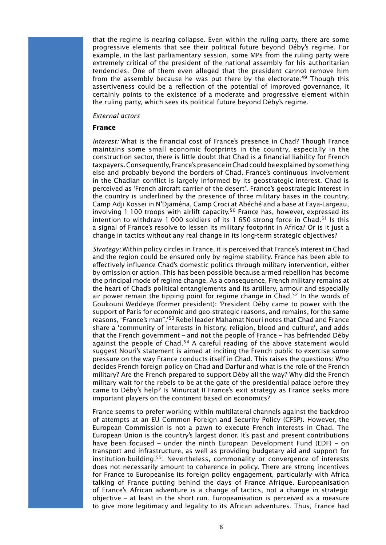that the regime is nearing collapse. Even within the ruling party, there are some progressive elements that see their political future beyond Déby's regime. For example, in the last parliamentary session, some MPs from the ruling party were extremely critical of the president of the national assembly for his authoritarian tendencies. One of them even alleged that the president cannot remove him from the assembly because he was put there by the electorate.<sup>49</sup> Though this assertiveness could be a reflection of the potential of improved governance, it certainly points to the existence of a moderate and progressive element within the ruling party, which sees its political future beyond Déby's regime.

#### *External actors*

#### **France**

*Interest:* What is the financial cost of France's presence in Chad? Though France maintains some small economic footprints in the country, especially in the construction sector, there is little doubt that Chad is a financial liability for French taxpayers. Consequently, France's presence in Chad could be explained by something else and probably beyond the borders of Chad. France's continuous involvement in the Chadian conflict is largely informed by its geostrategic interest. Chad is perceived as 'French aircraft carrier of the desert'*.* France's geostrategic interest in the country is underlined by the presence of three military bases in the country, Camp Adji Kossei in N'Djaména, Camp Croci at Abéché and a base at Faya-Largeau, involving 1 100 troops with airlift capacity.<sup>50</sup> France has, however, expressed its intention to withdraw 1 000 soldiers of its 1 650-strong force in Chad.<sup>51</sup> Is this a signal of France's resolve to lessen its military footprint in Africa? Or is it just a change in tactics without any real change in its long-term strategic objectives?

*Strategy:* Within policy circles in France, it is perceived that France's interest in Chad and the region could be ensured only by regime stability. France has been able to effectively influence Chad's domestic politics through military intervention, either by omission or action. This has been possible because armed rebellion has become the principal mode of regime change. As a consequence, French military remains at the heart of Chad's political entanglements and its artillery, armour and especially air power remain the tipping point for regime change in Chad.<sup>52</sup> In the words of Goukouni Weddeye (former president): 'President Déby came to power with the support of Paris for economic and geo-strategic reasons, and remains, for the same reasons, "France's man".'53 Rebel leader Mahamat Nouri notes that Chad and France share a 'community of interests in history, religion, blood and culture', and adds that the French government – and not the people of France – has befriended Déby against the people of Chad.<sup>54</sup> A careful reading of the above statement would suggest Nouri's statement is aimed at inciting the French public to exercise some pressure on the way France conducts itself in Chad. This raises the questions: Who decides French foreign policy on Chad and Darfur and what is the role of the French military? Are the French prepared to support Déby all the way? Why did the French military wait for the rebels to be at the gate of the presidential palace before they came to Déby's help? Is Minurcat II France's exit strategy as France seeks more important players on the continent based on economics?

France seems to prefer working within multilateral channels against the backdrop of attempts at an EU Common Foreign and Security Policy (CFSP). However, the European Commission is not a pawn to execute French interests in Chad. The European Union is the country's largest donor. It's past and present contributions have been focused – under the ninth European Development Fund (EDF) – on transport and infrastructure, as well as providing budgetary aid and support for institution-building.55. Nevertheless, commonality or convergence of interests does not necessarily amount to coherence in policy. There are strong incentives for France to Europeanise its foreign policy engagement, particularly with Africa talking of France putting behind the days of France Afrique. Europeanisation of France's African adventure is a change of tactics, not a change in strategic objective – at least in the short run. Europeanisation is perceived as a measure to give more legitimacy and legality to its African adventures. Thus, France had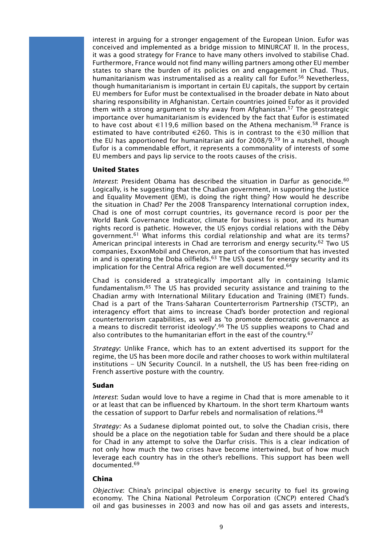interest in arguing for a stronger engagement of the European Union. Eufor was conceived and implemented as a bridge mission to MINURCAT II. In the process, it was a good strategy for France to have many others involved to stabilise Chad. Furthermore, France would not find many willing partners among other EU member states to share the burden of its policies on and engagement in Chad. Thus, humanitarianism was instrumentalised as a reality call for Eufor.<sup>56</sup> Nevetherless, though humanitarianism is important in certain EU capitals, the support by certain EU members for Eufor must be contextualised in the broader debate in Nato about sharing responsibility in Afghanistan. Certain countries joined Eufor as it provided them with a strong argument to shy away from Afghanistan.<sup>57</sup> The geostrategic importance over humanitarianism is evidenced by the fact that Eufor is estimated to have cost about €119,6 million based on the Athena mechanism.<sup>58</sup> France is estimated to have contributed  $\in$ 260. This is in contrast to the  $\in$ 30 million that the EU has apportioned for humanitarian aid for 2008/9.59 In a nutshell, though Eufor is a commendable effort, it represents a commonality of interests of some EU members and pays lip service to the roots causes of the crisis.

# **United States**

*Interest*: President Obama has described the situation in Darfur as genocide.<sup>60</sup> Logically, is he suggesting that the Chadian government, in supporting the Justice and Equality Movement (JEM), is doing the right thing? How would he describe the situation in Chad? Per the 2008 Transparency International corruption index, Chad is one of most corrupt countries, its governance record is poor per the World Bank Governance Indicator, climate for business is poor, and its human rights record is pathetic. However, the US enjoys cordial relations with the Déby government.61 What informs this cordial relationship and what are its terms? American principal interests in Chad are terrorism and energy security.<sup>62</sup> Two US companies, ExxonMobil and Chevron, are part of the consortium that has invested in and is operating the Doba oilfields.<sup>63</sup> The US's quest for energy security and its implication for the Central Africa region are well documented.<sup>64</sup>

Chad is considered a strategically important ally in containing Islamic fundamentalism.65 The US has provided security assistance and training to the Chadian army with International Military Education and Training (IMET) funds. Chad is a part of the Trans-Saharan Counterterrorism Partnership (TSCTP), an interagency effort that aims to increase Chad's border protection and regional counterterrorism capabilities, as well as 'to promote democratic governance as a means to discredit terrorist ideology'.<sup>66</sup> The US supplies weapons to Chad and also contributes to the humanitarian effort in the east of the country.<sup>67</sup>

*Strategy*: Unlike France, which has to an extent advertised its support for the regime, the US has been more docile and rather chooses to work within multilateral institutions – UN Security Council. In a nutshell, the US has been free-riding on French assertive posture with the country.

#### **Sudan**

*Interest*: Sudan would love to have a regime in Chad that is more amenable to it or at least that can be influenced by Khartoum. In the short term Khartoum wants the cessation of support to Darfur rebels and normalisation of relations.<sup>68</sup>

*Strategy:* As a Sudanese diplomat pointed out, to solve the Chadian crisis, there should be a place on the negotiation table for Sudan and there should be a place for Chad in any attempt to solve the Darfur crisis. This is a clear indication of not only how much the two crises have become intertwined, but of how much leverage each country has in the other's rebellions. This support has been well documented.69

#### **China**

*Objective*: China's principal objective is energy security to fuel its growing economy. The China National Petroleum Corporation (CNCP) entered Chad's oil and gas businesses in 2003 and now has oil and gas assets and interests,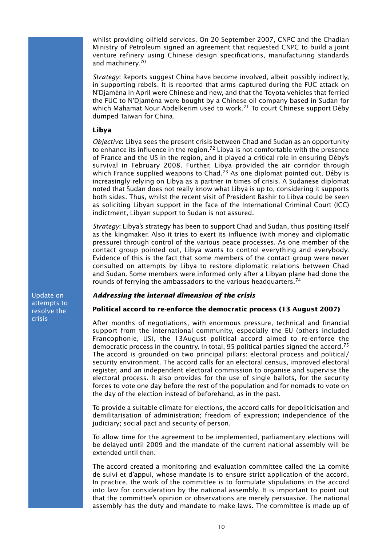whilst providing oilfield services. On 20 September 2007, CNPC and the Chadian Ministry of Petroleum signed an agreement that requested CNPC to build a joint venture refinery using Chinese design specifications, manufacturing standards and machinery.70

*Strategy*: Reports suggest China have become involved, albeit possibly indirectly, in supporting rebels. It is reported that arms captured during the FUC attack on N'Djaména in April were Chinese and new, and that the Toyota vehicles that ferried the FUC to N'Djaména were bought by a Chinese oil company based in Sudan for which Mahamat Nour Abdelkerim used to work.<sup>71</sup> To court Chinese support Déby dumped Taiwan for China.

# **Libya**

*Objective*: Libya sees the present crisis between Chad and Sudan as an opportunity to enhance its influence in the region.<sup>72</sup> Libya is not comfortable with the presence of France and the US in the region, and it played a critical role in ensuring Déby's survival in February 2008. Further, Libya provided the air corridor through which France supplied weapons to Chad.<sup>73</sup> As one diplomat pointed out, Déby is increasingly relying on Libya as a partner in times of crisis. A Sudanese diplomat noted that Sudan does not really know what Libya is up to, considering it supports both sides. Thus, whilst the recent visit of President Bashir to Libya could be seen as soliciting Libyan support in the face of the International Criminal Court (ICC) indictment, Libyan support to Sudan is not assured.

*Strategy*: Libya's strategy has been to support Chad and Sudan, thus positing itself as the kingmaker. Also it tries to exert its influence (with money and diplomatic pressure) through control of the various peace processes. As one member of the contact group pointed out, Libya wants to control everything and everybody. Evidence of this is the fact that some members of the contact group were never consulted on attempts by Libya to restore diplomatic relations between Chad and Sudan. Some members were informed only after a Libyan plane had done the rounds of ferrying the ambassadors to the various headquarters.74

# *Addressing the internal dimension of the crisis*

# **Political accord to re-enforce the democratic process (13 August 2007)**

After months of negotiations, with enormous pressure, technical and financial support from the international community, especially the EU (others included Francophonie, US), the 13August political accord aimed to re-enforce the democratic process in the country. In total, 95 political parties signed the accord.75 The accord is grounded on two principal pillars: electoral process and political/ security environment. The accord calls for an electoral census, improved electoral register, and an independent electoral commission to organise and supervise the electoral process. It also provides for the use of single ballots, for the security forces to vote one day before the rest of the population and for nomads to vote on the day of the election instead of beforehand, as in the past.

To provide a suitable climate for elections, the accord calls for depoliticisation and demilitarisation of administration; freedom of expression; independence of the judiciary; social pact and security of person.

To allow time for the agreement to be implemented, parliamentary elections will be delayed until 2009 and the mandate of the current national assembly will be extended until then.

The accord created a monitoring and evaluation committee called the La comité de suivi et d'appui, whose mandate is to ensure strict application of the accord. In practice, the work of the committee is to formulate stipulations in the accord into law for consideration by the national assembly. It is important to point out that the committee's opinion or observations are merely persuasive. The national assembly has the duty and mandate to make laws. The committee is made up of

Update on attempts to resolve the crisis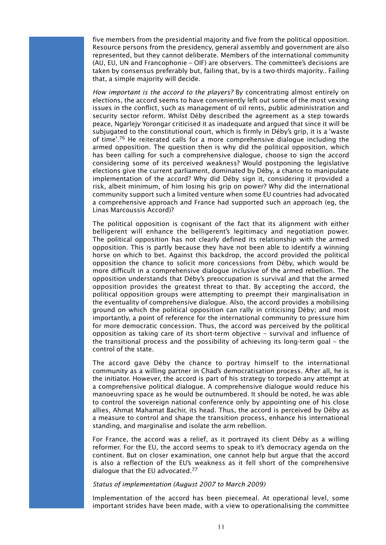five members from the presidential majority and five from the political opposition. Resource persons from the presidency, general assembly and government are also represented, but they cannot deliberate. Members of the international community (AU, EU, UN and Francophonie – OIF) are observers. The committee's decisions are taken by consensus preferably but, failing that, by is a two-thirds majority.. Failing that, a simple majority will decide.

*How important is the accord to the players?* By concentrating almost entirely on elections, the accord seems to have conveniently left out some of the most vexing issues in the conflict, such as management of oil rents, public administration and security sector reform. Whilst Déby described the agreement as a step towards peace, Ngarlejy Yorongar criticised it as inadequate and argued that since it will be subjugated to the constitutional court, which is firmly in Déby's grip, it is a 'waste of time'.76 He reiterated calls for a more comprehensive dialogue including the armed opposition. The question then is why did the political opposition, which has been calling for such a comprehensive dialogue, choose to sign the accord considering some of its perceived weakness? Would postponing the legislative elections give the current parliament, dominated by Déby, a chance to manipulate implementation of the accord? Why did Déby sign it, considering it provided a risk, albeit minimum, of him losing his grip on power? Why did the international community support such a limited venture when some EU countries had advocated a comprehensive approach and France had supported such an approach (eg, the Linas Marcoussis Accord)?

The political opposition is cognisant of the fact that its alignment with either belligerent will enhance the belligerent's legitimacy and negotiation power. The political opposition has not clearly defined its relationship with the armed opposition. This is partly because they have not been able to identify a winning horse on which to bet. Against this backdrop, the accord provided the political opposition the chance to solicit more concessions from Déby, which would be more difficult in a comprehensive dialogue inclusive of the armed rebellion. The opposition understands that Déby's preoccupation is survival and that the armed opposition provides the greatest threat to that. By accepting the accord, the political opposition groups were attempting to preempt their marginalisation in the eventuality of comprehensive dialogue. Also, the accord provides a mobilising ground on which the political opposition can rally in criticising Déby; and most importantly, a point of reference for the international community to pressure him for more democratic concession. Thus, the accord was perceived by the political opposition as taking care of its short-term objective – survival and influence of the transitional process and the possibility of achieving its long-term goal – the control of the state.

The accord gave Déby the chance to portray himself to the international community as a willing partner in Chad's democratisation process. After all, he is the initiator. However, the accord is part of his strategy to torpedo any attempt at a comprehensive political dialogue. A comprehensive dialogue would reduce his manoeuvring space as he would be outnumbered. It should be noted, he was able to control the sovereign national conference only by appointing one of his close allies, Ahmat Mahamat Bachir, its head. Thus, the accord is perceived by Déby as a measure to control and shape the transition process, enhance his international standing, and marginalise and isolate the arm rebellion.

For France, the accord was a relief, as it portrayed its client Déby as a willing reformer. For the EU, the accord seems to speak to it's democracy agenda on the continent. But on closer examination, one cannot help but argue that the accord is also a reflection of the EU's weakness as it fell short of the comprehensive dialogue that the EU advocated.77

### *Status of implementation (August 2007 to March 2009)*

Implementation of the accord has been piecemeal. At operational level, some important strides have been made, with a view to operationalising the committee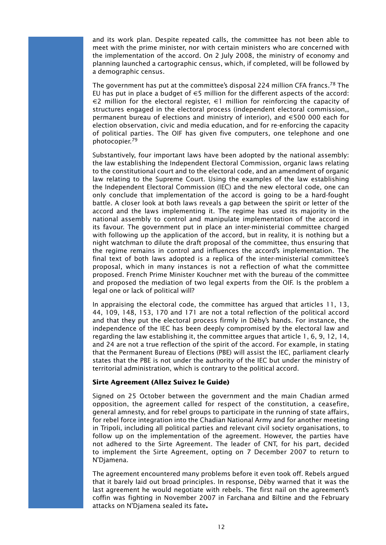and its work plan. Despite repeated calls, the committee has not been able to meet with the prime minister, nor with certain ministers who are concerned with the implementation of the accord. On 2 July 2008, the ministry of economy and planning launched a cartographic census, which, if completed, will be followed by a demographic census.

The government has put at the committee's disposal 224 million CFA francs.<sup>78</sup> The EU has put in place a budget of  $\epsilon$ 5 million for the different aspects of the accord:  $\in$ 2 million for the electoral register,  $\in$ 1 million for reinforcing the capacity of structures engaged in the electoral process (independent electoral commission,, permanent bureau of elections and ministry of interior), and  $\epsilon$ 500 000 each for election observation, civic and media education, and for re-enforcing the capacity of political parties. The OIF has given five computers, one telephone and one photocopier.79

Substantively, four important laws have been adopted by the national assembly: the law establishing the Independent Electoral Commission, organic laws relating to the constitutional court and to the electoral code, and an amendment of organic law relating to the Supreme Court. Using the examples of the law establishing the Independent Electoral Commission (IEC) and the new electoral code, one can only conclude that implementation of the accord is going to be a hard-fought battle. A closer look at both laws reveals a gap between the spirit or letter of the accord and the laws implementing it. The regime has used its majority in the national assembly to control and manipulate implementation of the accord in its favour. The government put in place an inter-ministerial committee charged with following up the application of the accord, but in reality, it is nothing but a night watchman to dilute the draft proposal of the committee, thus ensuring that the regime remains in control and influences the accord's implementation. The final text of both laws adopted is a replica of the inter-ministerial committee's proposal, which in many instances is not a reflection of what the committee proposed. French Prime Minister Kouchner met with the bureau of the committee and proposed the mediation of two legal experts from the OIF. Is the problem a legal one or lack of political will?

In appraising the electoral code, the committee has argued that articles 11, 13, 44, 109, 148, 153, 170 and 171 are not a total reflection of the political accord and that they put the electoral process firmly in Déby's hands. For instance, the independence of the IEC has been deeply compromised by the electoral law and regarding the law establishing it, the committee argues that article 1, 6, 9, 12, 14, and 24 are not a true reflection of the spirit of the accord. For example, in stating that the Permanent Bureau of Elections (PBE) will assist the IEC, parliament clearly states that the PBE is not under the authority of the IEC but under the ministry of territorial administration, which is contrary to the political accord.

# **Sirte Agreement (Allez Suivez le Guide)**

Signed on 25 October between the government and the main Chadian armed opposition, the agreement called for respect of the constitution, a ceasefire, general amnesty, and for rebel groups to participate in the running of state affairs, for rebel force integration into the Chadian National Army and for another meeting in Tripoli, including all political parties and relevant civil society organisations, to follow up on the implementation of the agreement. However, the parties have not adhered to the Sirte Agreement. The leader of CNT, for his part, decided to implement the Sirte Agreement, opting on 7 December 2007 to return to N'Djamena.

The agreement encountered many problems before it even took off. Rebels argued that it barely laid out broad principles. In response, Déby warned that it was the last agreement he would negotiate with rebels. The first nail on the agreement's coffin was fighting in November 2007 in Farchana and Biltine and the February attacks on N'Djamena sealed its fate**.**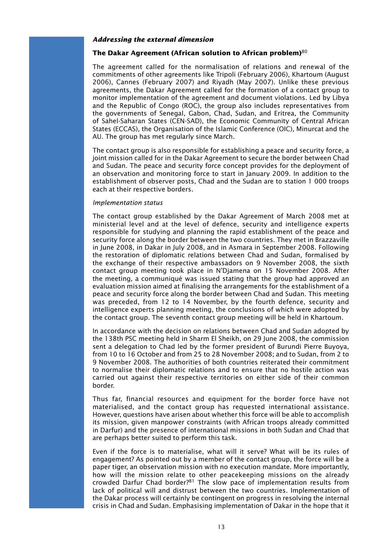#### *Addressing the external dimension*

### **The Dakar Agreement (African solution to African problem)**<sup>80</sup>

The agreement called for the normalisation of relations and renewal of the commitments of other agreements like Tripoli (February 2006), Khartoum (August 2006), Cannes (February 2007) and Riyadh (May 2007). Unlike these previous agreements, the Dakar Agreement called for the formation of a contact group to monitor implementation of the agreement and document violations. Led by Libya and the Republic of Congo (ROC), the group also includes representatives from the governments of Senegal, Gabon, Chad, Sudan, and Eritrea, the Community of Sahel-Saharan States (CEN-SAD), the Economic Community of Central African States (ECCAS), the Organisation of the Islamic Conference (OIC), Minurcat and the AU. The group has met regularly since March.

The contact group is also responsible for establishing a peace and security force, a joint mission called for in the Dakar Agreement to secure the border between Chad and Sudan. The peace and security force concept provides for the deployment of an observation and monitoring force to start in January 2009. In addition to the establishment of observer posts, Chad and the Sudan are to station 1 000 troops each at their respective borders.

#### *Implementation status*

The contact group established by the Dakar Agreement of March 2008 met at ministerial level and at the level of defence, security and intelligence experts responsible for studying and planning the rapid establishment of the peace and security force along the border between the two countries. They met in Brazzaville in June 2008, in Dakar in July 2008, and in Asmara in September 2008. Following the restoration of diplomatic relations between Chad and Sudan, formalised by the exchange of their respective ambassadors on 9 November 2008, the sixth contact group meeting took place in N'Djamena on 15 November 2008. After the meeting, a communiqué was issued stating that the group had approved an evaluation mission aimed at finalising the arrangements for the establishment of a peace and security force along the border between Chad and Sudan. This meeting was preceded, from 12 to 14 November, by the fourth defence, security and intelligence experts planning meeting, the conclusions of which were adopted by the contact group. The seventh contact group meeting will be held in Khartoum.

In accordance with the decision on relations between Chad and Sudan adopted by the 138th PSC meeting held in Sharm El Sheikh, on 29 June 2008, the commission sent a delegation to Chad led by the former president of Burundi Pierre Buyoya, from 10 to 16 October and from 25 to 28 November 2008; and to Sudan, from 2 to 9 November 2008. The authorities of both countries reiterated their commitment to normalise their diplomatic relations and to ensure that no hostile action was carried out against their respective territories on either side of their common border.

Thus far, financial resources and equipment for the border force have not materialised, and the contact group has requested international assistance. However, questions have arisen about whether this force will be able to accomplish its mission, given manpower constraints (with African troops already committed in Darfur) and the presence of international missions in both Sudan and Chad that are perhaps better suited to perform this task.

Even if the force is to materialise, what will it serve? What will be its rules of engagement? As pointed out by a member of the contact group, the force will be a paper tiger, an observation mission with no execution mandate. More importantly, how will the mission relate to other peacekeeping missions on the already crowded Darfur Chad border?81 The slow pace of implementation results from lack of political will and distrust between the two countries. Implementation of the Dakar process will certainly be contingent on progress in resolving the internal crisis in Chad and Sudan. Emphasising implementation of Dakar in the hope that it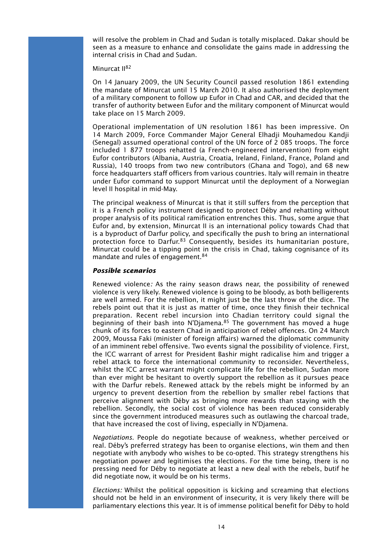will resolve the problem in Chad and Sudan is totally misplaced. Dakar should be seen as a measure to enhance and consolidate the gains made in addressing the internal crisis in Chad and Sudan.

### Minurcat II<sup>82</sup>

On 14 January 2009, the UN Security Council passed resolution 1861 extending the mandate of Minurcat until 15 March 2010. It also authorised the deployment of a military component to follow up Eufor in Chad and CAR, and decided that the transfer of authority between Eufor and the military component of Minurcat would take place on 15 March 2009.

Operational implementation of UN resolution 1861 has been impressive. On 14 March 2009, Force Commander Major General Elhadji Mouhamedou Kandji (Senegal) assumed operational control of the UN force of 2 085 troops. The force included 1 877 troops rehatted (a French-engineered intervention) from eight Eufor contributors (Albania, Austria, Croatia, Ireland, Finland, France, Poland and Russia), 140 troops from two new contributors (Ghana and Togo), and 68 new force headquarters staff officers from various countries. Italy will remain in theatre under Eufor command to support Minurcat until the deployment of a Norwegian level II hospital in mid-May.

The principal weakness of Minurcat is that it still suffers from the perception that it is a French policy instrument designed to protect Déby and rehatting without proper analysis of its political ramification entrenches this. Thus, some argue that Eufor and, by extension, Minurcat II is an international policy towards Chad that is a byproduct of Darfur policy, and specifically the push to bring an international protection force to Darfur.<sup>83</sup> Consequently, besides its humanitarian posture, Minurcat could be a tipping point in the crisis in Chad, taking cognisance of its mandate and rules of engagement.<sup>84</sup>

#### *Possible scenarios*

Renewed violence*:* As the rainy season draws near, the possibility of renewed violence is very likely. Renewed violence is going to be bloody, as both belligerents are well armed. For the rebellion, it might just be the last throw of the dice. The rebels point out that it is just as matter of time, once they finish their technical preparation. Recent rebel incursion into Chadian territory could signal the beginning of their bash into N'Diamena.<sup>85</sup> The government has moved a huge chunk of its forces to eastern Chad in anticipation of rebel offences. On 24 March 2009, Moussa Faki (minister of foreign affairs) warned the diplomatic community of an imminent rebel offensive. Two events signal the possibility of violence. First, the ICC warrant of arrest for President Bashir might radicalise him and trigger a rebel attack to force the international community to reconsider. Nevertheless, whilst the ICC arrest warrant might complicate life for the rebellion, Sudan more than ever might be hesitant to overtly support the rebellion as it pursues peace with the Darfur rebels. Renewed attack by the rebels might be informed by an urgency to prevent desertion from the rebellion by smaller rebel factions that perceive alignment with Déby as bringing more rewards than staying with the rebellion. Secondly, the social cost of violence has been reduced considerably since the government introduced measures such as outlawing the charcoal trade, that have increased the cost of living, especially in N'Djamena.

*Negotiations*. People do negotiate because of weakness, whether perceived or real. Déby's preferred strategy has been to organise elections, win them and then negotiate with anybody who wishes to be co-opted. This strategy strengthens his negotiation power and legitimises the elections. For the time being, there is no pressing need for Déby to negotiate at least a new deal with the rebels, butif he did negotiate now, it would be on his terms.

*Elections:* Whilst the political opposition is kicking and screaming that elections should not be held in an environment of insecurity, it is very likely there will be parliamentary elections this year. It is of immense political benefit for Déby to hold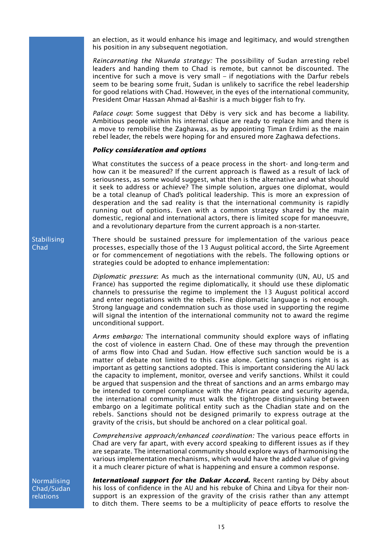an election, as it would enhance his image and legitimacy, and would strengthen his position in any subsequent negotiation.

*Reincarnating the Nkunda strategy:* The possibility of Sudan arresting rebel leaders and handing them to Chad is remote, but cannot be discounted. The incentive for such a move is very small – if negotiations with the Darfur rebels seem to be bearing some fruit, Sudan is unlikely to sacrifice the rebel leadership for good relations with Chad. However, in the eyes of the international community, President Omar Hassan Ahmad al-Bashir is a much bigger fish to fry.

*Palace coup*: Some suggest that Déby is very sick and has become a liability. Ambitious people within his internal clique are ready to replace him and there is a move to remobilise the Zaghawas, as by appointing Timan Erdimi as the main rebel leader, the rebels were hoping for and ensured more Zaghawa defections.

#### *Policy consideration and options*

What constitutes the success of a peace process in the short- and long-term and how can it be measured? If the current approach is flawed as a result of lack of seriousness, as some would suggest, what then is the alternative and what should it seek to address or achieve? The simple solution, argues one diplomat, would be a total cleanup of Chad's political leadership. This is more an expression of desperation and the sad reality is that the international community is rapidly running out of options. Even with a common strategy shared by the main domestic, regional and international actors, there is limited scope for manoeuvre, and a revolutionary departure from the current approach is a non-starter.

There should be sustained pressure for implementation of the various peace processes, especially those of the 13 August political accord, the Sirte Agreement or for commencement of negotiations with the rebels. The following options or strategies could be adopted to enhance implementation:

*Diplomatic pressure*: As much as the international community (UN, AU, US and France) has supported the regime diplomatically, it should use these diplomatic channels to pressurise the regime to implement the 13 August political accord and enter negotiations with the rebels. Fine diplomatic language is not enough. Strong language and condemnation such as those used in supporting the regime will signal the intention of the international community not to award the regime unconditional support.

*Arms embargo:* The international community should explore ways of inflating the cost of violence in eastern Chad. One of these may through the prevention of arms flow into Chad and Sudan. How effective such sanction would be is a matter of debate not limited to this case alone. Getting sanctions right is as important as getting sanctions adopted. This is important considering the AU lack the capacity to implement, monitor, oversee and verify sanctions. Whilst it could be argued that suspension and the threat of sanctions and an arms embargo may be intended to compel compliance with the African peace and security agenda, the international community must walk the tightrope distinguishing between embargo on a legitimate political entity such as the Chadian state and on the rebels. Sanctions should not be designed primarily to express outrage at the gravity of the crisis, but should be anchored on a clear political goal.

*Comprehensive approach/enhanced coordination:* The various peace efforts in Chad are very far apart, with every accord speaking to different issues as if they are separate. The international community should explore ways of harmonising the various implementation mechanisms, which would have the added value of giving it a much clearer picture of what is happening and ensure a common response.

Normalising Chad/Sudan relations

**International support for the Dakar Accord.** Recent ranting by Déby about his loss of confidence in the AU and his rebuke of China and Libya for their nonsupport is an expression of the gravity of the crisis rather than any attempt to ditch them. There seems to be a multiplicity of peace efforts to resolve the

Stabilising Chad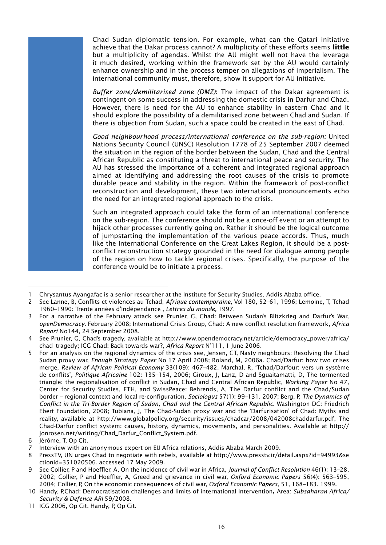Chad Sudan diplomatic tension. For example, what can the Qatari initiative achieve that the Dakar process cannot? A multiplicity of these efforts seems **little** but a multiplicity of agendas. Whilst the AU might well not have the leverage it much desired, working within the framework set by the AU would certainly enhance ownership and in the process temper on allegations of imperialism. The international community must, therefore, show it support for AU initiative.

*Buffer zone/demilitarised zone (DMZ)*: The impact of the Dakar agreement is contingent on some success in addressing the domestic crisis in Darfur and Chad. However, there is need for the AU to enhance stability in eastern Chad and it should explore the possibility of a demilitarised zone between Chad and Sudan. If there is objection from Sudan, such a space could be created in the east of Chad.

*Good neighbourhood process/international conference on the sub-region:* United Nations Security Council (UNSC) Resolution 1778 of 25 September 2007 deemed the situation in the region of the border between the Sudan, Chad and the Central African Republic as constituting a threat to international peace and security. The AU has stressed the importance of a coherent and integrated regional approach aimed at identifying and addressing the root causes of the crisis to promote durable peace and stability in the region. Within the framework of post-conflict reconstruction and development, these two international pronouncements echo the need for an integrated regional approach to the crisis.

Such an integrated approach could take the form of an international conference on the sub-region. The conference should not be a once-off event or an attempt to hijack other processes currently going on. Rather it should be the logical outcome of jumpstarting the implementation of the various peace accords. Thus, much like the International Conference on the Great Lakes Region, it should be a postconflict reconstruction strategy grounded in the need for dialogue among people of the region on how to tackle regional crises. Specifically, the purpose of the conference would be to initiate a process.

<sup>1</sup> Chrysantus Ayangafac is a senior researcher at the Institute for Security Studies, Addis Ababa office.

<sup>2</sup> See Lanne, B, Conflits et violences au Tchad, *Afrique contemporaine*, Vol 180, 52–61, 1996; Lemoine, T, Tchad 1960–1990: Trente années d'Indépendance , *Lettres du monde,* 1997.

<sup>3</sup> For a narrative of the February attack see Prunier, G, Chad: Between Sudan's Blitzkrieg and Darfur's War, *openDemocracy*. February 2008; International Crisis Group, Chad: A new conflict resolution framework, *Africa Report* No144, 24 September 2008.

<sup>4</sup> See Prunier, G, Chad's tragedy, available at http://www.opendemocracy.net/article/democracy\_power/africa/ chad\_tragedy; ICG Chad: Back towards war?, *Africa Report* N°111, 1 June 2006.

<sup>5</sup> For an analysis on the regional dynamics of the crisis see, Jensen, CT, Nasty neighbours: Resolving the Chad Sudan proxy war, *Enough Strategy Paper* No 17 April 2008; Roland, M, 2006a. Chad/Darfur: how two crises merge, *Review of African Political Economy* 33(109): 467–482. Marchal, R, 'Tchad/Darfour: vers un système de conflits'*, Politique Africaine* 102: 135–154, 2006; Giroux, J, Lanz, D and Sguaitamatti, D, The tormented triangle: the regionalisation of conflict in Sudan, Chad and Central African Republic, *Working Paper* No 47, Center for Security Studies, ETH, and SwissPeace; Behrends, A, The Darfur conflict and the Chad/Sudan border – regional context and local re-configuration, *Sociologus* 57(1): 99–131. 2007; Berg, P, *The Dynamics of Conflict in the Tri-Border Region of Sudan, Chad and the Central African Republic*. Washington DC: Friedrich Ebert Foundation, 2008; Tubiana, J, The Chad-Sudan proxy war and the 'Darfurisation' of Chad: Myths and reality, available at http://www.globalpolicy.org/security/issues/chadcar/2008/042008chaddarfur.pdf, The Chad-Darfur conflict system: causes, history, dynamics, movements, and personalities. Available at http:// jonrosen.net/writing/Chad\_Darfur\_Conflict\_System.pdf.

<sup>6</sup> Jérôme, T, Op Cit.

<sup>7</sup> Interview with an anonymous expert on EU Africa relations, Addis Ababa March 2009.

<sup>8</sup> PressTV, UN urges Chad to negotiate with rebels, available at http://www.presstv.ir/detail.aspx?id=94993&se ctionid=351020506. accessed 17 May 2009.

<sup>9</sup> See Collier, P and Hoeffler, A, On the incidence of civil war in Africa, *Journal of Conflict Resolution* 46(1): 13–28, 2002; Collier, P and Hoeffler, A, Greed and grievance in civil war, *Oxford Economic Papers* 56(4): 563–595, 2004; Collier, P, On the economic consequences of civil war, *Oxford Economic Papers*, 51, 168–183. 1999.

<sup>10</sup> Handy, P,Chad: Democratisation challenges and limits of international intervention**,** Area: *Subsaharan Africa/ Security & Defence ARI* 59/2008.

<sup>11</sup> ICG 2006, Op Cit. Handy, P, Op Cit.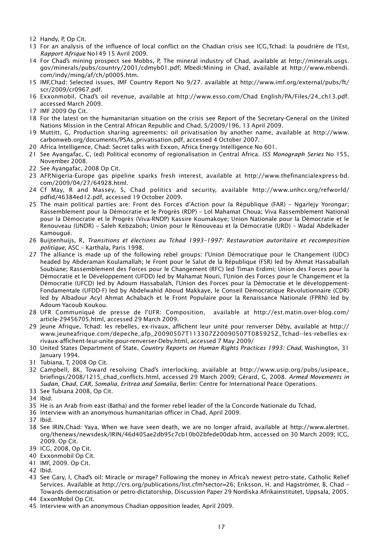- 12 Handy, P, Op Cit.
- 13 For an analysis of the influence of local conflict on the Chadian crisis see ICG,Tchad: la poudrière de l'Est, *Rapport Afrique* No149 15 Avril 2009.
- 14 For Chad's mining prospect see Mobbs, P, The mineral industry of Chad, available at http://minerals.usgs. gov/minerals/pubs/country/2001/cdmyb01.pdf; Mbedi:Mining in Chad, available at http://www.mbendi. com/indy/ming/af/ch/p0005.htm.
- 15 IMF,Chad: Selected issues, IMF Country Report No 9/27. available at http://www.imf.org/external/pubs/ft/ scr/2009/cr0967.pdf.
- 16 Exxonmobil, Chad's oil revenue, available at http://www.esso.com/Chad English/PA/Files/24\_ch13.pdf. accessed March 2009.
- 17 IMF 2009 Op Cit.
- 18 For the latest on the humanitarian situation on the crisis see Report of the Secretary-General on the United Nations Mission in the Central African Republic and Chad, S/2009/196, 13 April 2009.
- 19 Muttitt, G, Production sharing agreements: oil privatisation by another name, available at http://www. carbonweb.org/documents/PSAs\_privatisation.pdf, accessed 4 October 2007.
- 20 Africa Intelligence, Chad: Secret talks with Exxon, Africa Energy Intelligence No 601.
- 21 See Ayangafac, C, (ed) Political economy of regionalisation in Central Africa. *ISS Monograph Series* No 155, November 2008.
- 22 See Ayangafac, 2008 Op Cit.
- 23 AFP,Nigeria-Europe gas pipeline sparks fresh interest, available at http://www.thefinancialexpress-bd. com/2009/04/27/64928.html.
- 24 Cf May, R and Massey, S, Chad politics and security, available http://www.unhcr.org/refworld/ pdfid/46384ed12.pdf, accessed 19 October 2009.
- 25 The main political parties are: Front des Forces d'Action pour la République (FAR) Ngarlejy Yorongar; Rassemblement pour la Démocratie et le Progrès (RDP) – Lol Mahamat Choua; Viva Rassemblement National pour la Démocratie et le Progrès (Viva-RNDP) Kassire Koumakoye; Union Nationale pour la Démocratie et le Renouveau (UNDR) – Saleh Kebzaboh; Union pour le Rénouveau et la Démocratie (URD) – Wadal Abdelkader Kamougué.
- 26 Buijtenhuijs, R, *Transitions et élections au Tchad 1993–1997: Restauration autoritaire et recomposition politique*, ASC – Karthala, Paris 1998.
- 27 The alliance is made up of the following rebel groups: l'Union Démocratique pour le Changement (UDC) headed by Abderaman Koulamallah; le Front pour le Salut de la République (FSR) led by Ahmat Hassaballah Soubiane; Rassemblement des Forces pour le Changement (RFC) led Timan Erdimi; Union des Forces pour la Démocratie et le Développement (UFDD) led by Mahamat Nouri, l'Union des Forces pour le Changement et la Démocratie (UFCD) led by Adoum Hassabalah, l'Union des Forces pour la Démocratie et le développement-Fondamentale (UFDD-F) led by Abdelwahid Aboud Makkaye, le Conseil Démocratique Révolutionnaire (CDR) led by Albadour Acyl Ahmat Achabach et le Front Populaire pour la Renaissance Nationale (FPRN) led by Adoum Yacoub Koukou.
- 28 UFR Communiqué de presse de l'UFR: Composition, available at http://est.matin.over-blog.com/ article-29456705.html, accessed 29 March 2009.
- 29 Jeune Afrique, Tchad: les rebelles, ex-rivaux, affichent leur unité pour renverser Déby, available at http:// www.jeuneafrique.com/depeche\_afp\_20090507T113307Z20090507T085925Z\_Tchad--les-rebelles-exrivaux-affichent-leur-unite-pour-renverser-Deby.html, accessed 7 May 2009/
- 30 United States Department of State, *Country Reports on Human Rights Practices 1993: Chad*, Washington, 31 January 1994.
- 31 Tubiana, T, 2008 Op Cit.
- 32 Campbell, BK, Toward resolving Chad's interlocking, available at http://www.usip.org/pubs/usipeace\_ briefings/2008/1215\_chad\_conflicts.html, accessed 29 March 2009; Gérard, G, 2008. *Armed Movements in Sudan, Chad, CAR, Somalia, Eritrea and Somalia,* Berlin: Centre for International Peace Operations.
- 33 See Tubiana 2008, Op Cit.
- 34 Ibid.
- 35 He is an Arab from east (Batha) and the former rebel leader of the la Concorde Nationale du Tchad,
- 36 Interview with an anonymous humanitarian officer in Chad, April 2009.
- 37 Ibid.
- 38 See IRIN,Chad: Yaya, When we have seen death, we are no longer afraid, available at http://www.alertnet. org/thenews/newsdesk/IRIN/46d405ae2db95c7cb10b02bfede00dab.htm, accessed on 30 March 2009; ICG, 2009. Op Cit.
- 39 ICG, 2008, Op Cit.
- 40 Exxonmobil Op Cit.
- 41 IMF, 2009. Op Cit.
- 42 Ibid.
- 43 See Gary, I, Chad's oil: Miracle or mirage? Following the money in Africa's newest petro-state, Catholic Relief Services. Available at http://crs.org/publications/list.cfm?sector=26; Eriksson, H. and Hagströmer, B, Chad – Towards democratisation or petro-dictatorship, Discussion Paper 29 Nordiska Afrikainstitutet, Uppsala, 2005.
- 44 ExxonMobil Op Cit.
- 45 Interview with an anonymous Chadian opposition leader, April 2009.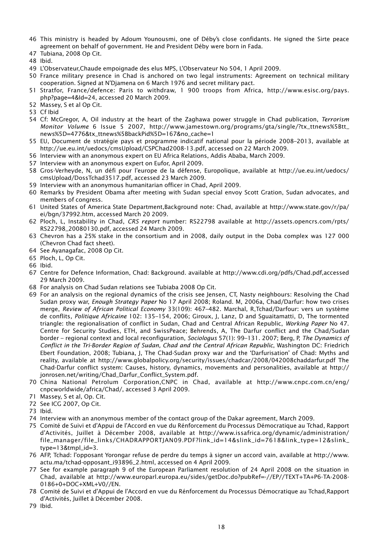- 46 This ministry is headed by Adoum Younousmi, one of Déby's close confidants. He signed the Sirte peace agreement on behalf of government. He and President Déby were born in Fada.
- 47 Tubiana, 2008 Op Cit.
- 48 Ibid.
- 49 L'Observateur,Chaude empoignade des elus MPS, L'Observateur No 504, 1 April 2009.
- 50 France military presence in Chad is anchored on two legal instruments: Agreement on technical military cooperation. Signed at N'Djamena on 6 March 1976 and secret military pact.
- 51 Stratfor, France/defence: Paris to withdraw, 1 900 troops from Africa, http://www.esisc.org/pays. php?page=4&Id=24, accessed 20 March 2009.
- 52 Massey, S et al Op Cit.
- 53 Cf Ibid
- 54 Cf: McGregor, A, Oil industry at the heart of the Zaghawa power struggle in Chad publication, *Terrorism Monitor Volume* 6 Issue 5 2007, http://www.jamestown.org/programs/gta/single/?tx\_ttnews%5Btt\_ news%5D=4776&tx\_ttnews%5BbackPid%5D=167&no\_cache=1
- 55 EU, Document de stratégie pays et programme indicatif national pour la période 2008–2013, available at http://ue.eu.int/uedocs/cmsUpload/CSPChad2008-13.pdf, accessed on 22 March 2009.
- 56 Interview with an anonymous expert on EU Africa Relations, Addis Ababa, March 2009.
- 57 Interview with an anonymous expert on Eufor, April 2009.
- 58 Gros-Verheyde, N, un défi pour l'europe de la défense, Europolique, available at http://ue.eu.int/uedocs/ cmsUpload/DossTchad3517.pdf, accessed 23 March 2009.
- 59 Interview with an anonymous humanitarian officer in Chad, April 2009.
- 60 Remarks by President Obama after meeting with Sudan special envoy Scott Gration, Sudan advocates, and members of congress.
- 61 United States of America State Department,Background note: Chad, available at http://www.state.gov/r/pa/ ei/bgn/37992.htm, accessed March 20 2009.
- 62 Ploch, L, Instability in Chad, *CRS report* number: RS22798 available at http://assets.opencrs.com/rpts/ RS22798\_20080130.pdf, accessed 24 March 2009.
- 63 Chevron has a 25% stake in the consortium and in 2008, daily output in the Doba complex was 127 000 (Chevron Chad fact sheet).
- 64 See Ayanagafac, 2008 Op Cit.
- 65 Ploch, L, Op Cit.
- 66 Ibid.
- 67 Centre for Defence Information, Chad: Background. available at http://www.cdi.org/pdfs/Chad.pdf,accessed 29 March 2009.
- 68 For analysis on Chad Sudan relations see Tubiaba 2008 Op Cit.
- 69 For an analysis on the regional dynamics of the crisis see Jensen, CT, Nasty neighbours: Resolving the Chad Sudan proxy war, *Enough Strategy Paper* No 17 April 2008; Roland. M, 2006a, Chad/Darfur: how two crises merge, *Review of African Political Economy* 33(109): 467–482. Marchal, R,Tchad/Darfour: vers un système de conflits*, Politique Africaine* 102: 135–154, 2006; Giroux, J, Lanz, D and Sguaitamatti, D, The tormented triangle: the regionalisation of conflict in Sudan, Chad and Central African Republic, *Working Paper* No 47. Centre for Security Studies, ETH, and SwissPeace; Behrends, A, The Darfur conflict and the Chad/Sudan border – regional context and local reconfiguration, *Sociologus* 57(1): 99–131. 2007; Berg, P, *The Dynamics of Conflict in the Tri-Border Region of Sudan, Chad and the Central African Republic*, Washington DC: Friedrich Ebert Foundation, 2008; Tubiana, J, The Chad-Sudan proxy war and the 'Darfurisation' of Chad: Myths and reality, available at http://www.globalpolicy.org/security/issues/chadcar/2008/042008chaddarfur.pdf The Chad-Darfur conflict system: Causes, history, dynamics, movements and personalities, available at http:// jonrosen.net/writing/Chad\_Darfur\_Conflict\_System.pdf.
- 70 China National Petrolum Corporation,CNPC in Chad, available at http://www.cnpc.com.cn/eng/ cnpcworldwide/africa/Chad/, accessed 3 April 2009.
- 71 Massey, S et al, Op. Cit.
- 72 See ICG 2007, Op Cit.
- 73 Ibid.
- 74 Interview with an anonymous member of the contact group of the Dakar agreement, March 2009.
- 75 Comité de Suivi et d'Appui de l'Accord en vue du Rénforcement du Processus Démocratique au Tchad, Rapport d'Activités, Juillet à Décember 2008, available at http://www.issafrica.org/dynamic/administration/ file\_manager/file\_links/CHADRAPPORTJAN09.PDF?link\_id=14&slink\_id=7618&link\_type=12&slink\_ type=13&tmpl\_id=3.
- 76 AFP, Tchad: l'opposant Yorongar refuse de perdre du temps à signer un accord vain, available at http://www. actu.ma/tchad-opposant\_i93896\_2.html, accessed on 4 April 2009.
- 77 See for example paragraph 9 of the European Parliament resolution of 24 April 2008 on the situation in Chad, available at http://www.europarl.europa.eu/sides/getDoc.do?pubRef=-//EP//TEXT+TA+P6-TA-2008- 0186+0+DOC+XML+V0//EN.
- 78 Comité de Suivi et d'Appui de l'Accord en vue du Rénforcement du Processus Démocratique au Tchad,Rapport d'Activités, Juillet à Décember 2008.
- 79 Ibid.